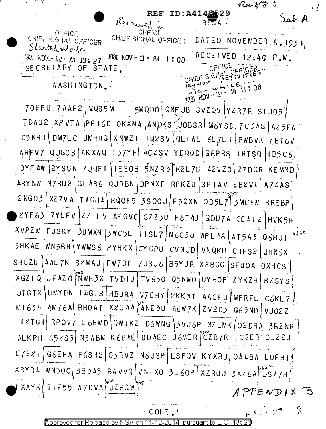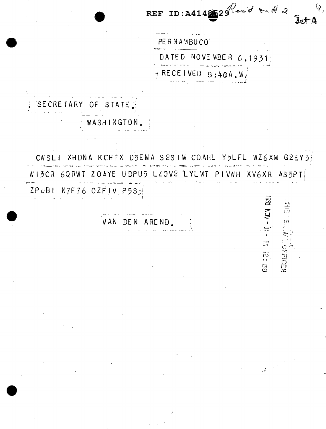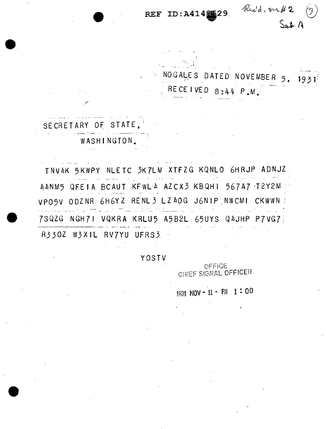Rid, on #2 REF ID: A4148529  $S_{ab}A$ 

NOGALES DATED NOVEMBER 5.  $1931$ RECEIVED  $8:44$  P.M.

SECRETARY OF STATE. WASHINGTON.

TNV4K 5KWPY NLETC 3K7LM XTFZG KQNLO 6HRJP ADNJZ 44NM5 QFEIA BCAUT KFWL 4 AZCX3 KBQHI 567A7 T2Y2M VPO5V ODZNR 6H6YZ RENL3 LZ40G J6NIP NWCMI CKWWN 7SQZG NGH71 VQKRA KRLU5 A5B2L 65UYS Q4JHP P7VG73 R330Z W3XIL RV7YU UFRS3

YOSTV

OFFICE CHIEF SIGNAL OFFICER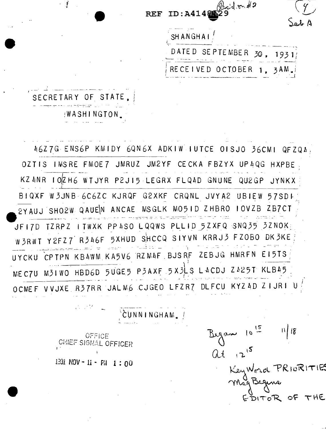ysoid m#2 **REF** ID:A41485 Jab A **SHANGHAI** SEPTEMBER 30, 1931 DATED RECEIVED OCTOBER 1, 3AM.

SECRETARY OF STATE. WASHINGTON.

 $\cdot$   $\frac{1}{2}$ 

46Z7G ENS6P KMIDY 6QN6X ADKIW IUTCE OISJO 36CMI QFZQ4, OZTIS IMSRE FMOE7 JMRUZ JM2YF CECKA FBZYX UP4QG HXPBE KZ ANR IOZH6 WTUYR P2JI5 LEGRX FLQAD GNUNE QU2GP JYNKX BIQXF W3JNB 6C6ZC KJRQF G2XKF CRQNL JVYA2 UBIEW 57SDI 2YAUJ SHO2W QAUEN ANCAE MSGLK MO5ID ZHBRO IOVZB ZB7CT JFI7D TZRPZ ITWXK PP4SO LQQWS PLLID 5ZXFQ SNQ35 3ZNOK W3RWT Y2FZ7 R346F 5XHUD SHCCQ SIYVN KRRJ3 FZ0B0 DK3KE UYCKU CPTPN KB4WM KA5V6 RZM4F BJSRF ZEBJG HMRFN EI5TS MEC7U M3IWO HBD6D 5UGE5 P3AXF 5X3LS L4CDJ Z425T KLB45 OCMEF VVJXE R37RR JALM6 CJGEO LFZR7 DLFCU KYZ4D ZIJRI

ČUNNINGHAM.

OFFICE CHIEF SIGNAL OFFICER

计分析

1331 NOV - 1i - PH 1:00

Began 10  $\frac{15}{9}$ <br>at 12<sup>15</sup>  $\mathbb{N}$  18 Key Word PRIORITIES DITOR OF THE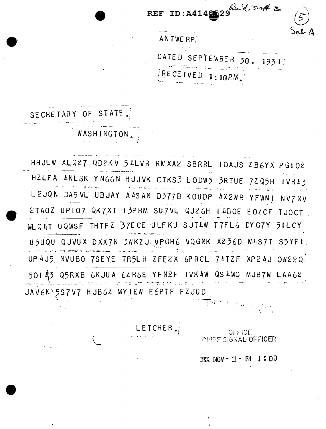ID: A4148529 Rue d. on # 2 **REF** ANTWERP, DATED SEPTEMBER 30, 1931 **RECEIVED**  $1:10PM$ 

SECRETARY OF STATE,

WASHINGTON.

HHULW XLQ27 QD2KV 54LVR RMXA2 SBRRL IDAJS ZB6YX PG102 HZLFA ANLSK YN66N HUJVK CTKS3 LODW5 3RTUE 7ZQ5H  $IVR43$ L2JQN DA5VL UBJAY A4SAN D377B KOUDP AX2WB YFWNI  $NVIX$ 2TA0Z UPIO7 QK7XT I3PBM SU7VL QJ26H I4B0E E0ZCF TJ0CT THIFZ 37ECE ULFKU SJTAW T7FL6 DYG7Y 5ILCY MLQ4T UQMSF U5UQU QJVUX DXX7N 3WKZJ、VPGH6 VQGNK X236D M4S7T S5YFI UP4J5 NVUBO 7SEYE TR5LH ZFF2X 6PRCL 74TZF XP24J OW220 50143 Q5RXB 6KJUA 6ZR6E YFN2F IVK4W QS4MO MJB7M LAA62 JAV6N 5S7V7 HJB6Z MYJEW EGPTF FZJUD

LETCHER.

OFFICE **CHIEF SIGNAL OFFICER**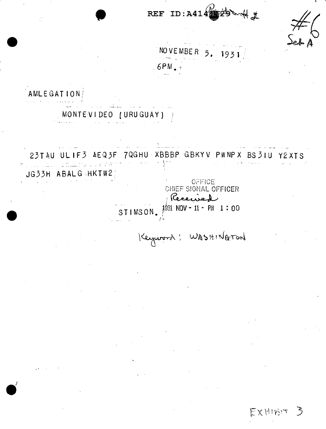REF ID:  $A414862$ 计义

EXHIBIT

3

NOVEMBER  $5.$ 1931

 $6PM$ .

AMLEGATION MONTEVIDEO (URUGUAY) } 23T4U ULIF3 4EQ3F 7QGHU XBBBP GBKYV PWNPX BS3IU Y2XTS JG33H ABALG HKTW2, OFFICE CHIEF SIGNAL OFFICER Received  $1001$  NOV - 11 - PH 1:00 STIMSON. Keyword; WASHINGTON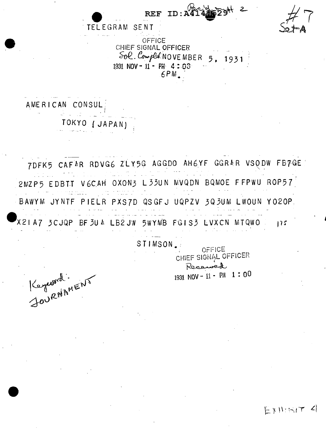

AMERICAN CONSUL TOKYO (JAPAN)

Keyword :

7DFK5 CAFAR RDVG6 ZLY5G AGGD0 AH6YF GGRAR VSODW FB7GE 2MZP5 EDBTT V6CAH OXON3 L33UN MVQDN BQMOE FFPWU ROP57 BAWYM JYNTF PIELR PXS7D QSGFJ UQPZV 3Q3UM LWOUN YO2OP. X2IA7 3CJQP BF3U4 LB2JW 5WYMB FGIS3 LVXCN MTQWO  $175$ 

STIMSON.

OFFICE CHIEF SIGNAL OFFICER Received 1931 NOV - 11 - PM 1:00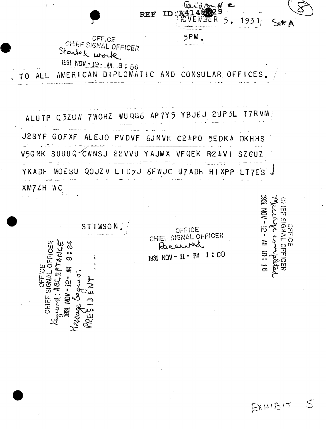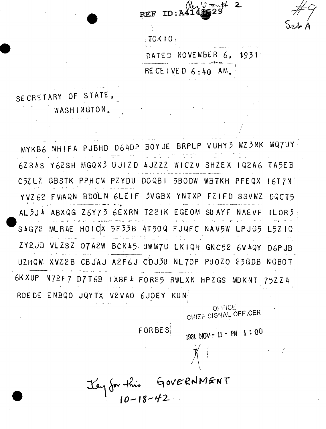**REF**  $ID:A41$  $10K104$ DATE D NOVEMBER 6. 1931 RECEIVED  $6:40$  AM. SECRETARY OF STATE WASHINGTON. VUHY3 MZ3NK MQ7UY MYKB6 NHIFA PJBHD D64DP BOYJE BRPLP 6ZR4S Y62SH MGQX3 UJIZD 4JZZZ WICZV SHZEX 1Q2A6 TA5EB C5ZLZ GBSTK PPHCM PZYDU DOQBI 5BODW WBTKH PFEQX 16T7N' YVZ62 FVAQN BDOLN 6LEIF 3VGBX YNTXP FZIFD SSVMZ DQCT5 AL3J4 ABXQG Z6Y73 6EXRN T22IK EGEOM SUAYF NAEVF  $ILOR<sub>3</sub>$ MLR4E HOICX 5F33B 4T50Q FJQFC NAV5W LPJG5 L5ZIQ S4G72 ZY2JD VLZSZ 07A2W BCN45 UWM7U LKIQH GNC52 6V4QY D6PJB UZHQM XVZ2B CBJAJ A2F6J CDJ3U NL70P PUOZO 23GDB NGBOT 6K XUP N72F7 D7T6B IXBF4 FOR25 RWLXN HPZGS MDKNT 75ZZ4 ROEDE ENBQO JQYTX V2VAO 6JOEY KUN

OFFICE CHIEF SIGNAL OFFICER

FOR BES

Jey for this GOVERNMENT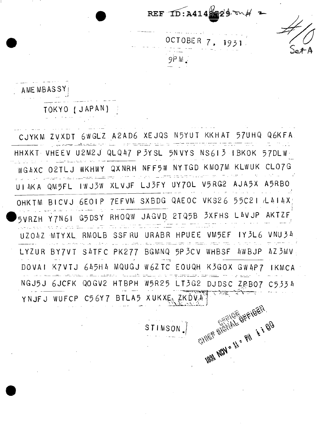

1931



**OCTOBER**  $7$  .  $9P M$ 

AME MBASSY

TOKYO (JAPAN)

CJYKM ZVXDT 6WGLZ A2AD6 XEJQS N5YUT KKHAT 57UHQ Q6KFA HHXKT VHEEV U2M2J QLQ47 P3YSL 5NVYS NS613 IBKOK  $57DLW$ WG4XC O2TLJ WKHWY QXNRH NFF5W NYTGD KMO7M KLWUK CLO7G UI4KA QM5FL IWJ3W XLVJF LJ3FY UY70L V5RG2 AJA5X A5RB0 OHKTM BICVJ 6EOIP 7EFVM SXBDG QAEOC VKS26 55C21 LAIAX RHOQW JAGVD 2TQ5B 3XFHS LAVJP AKTZF G5 DS Y Y7N61 5VRZH UZOAZ MTYXL RMOLB SSFRU URABR HPUEE VM5EF IY3L6 VNU34 BGMNQ 5P3CV WHBSF LYZUR BY7VT S4TFC PK277 4WBJP 42 3 M V DOVAI K7VTJ 645H4 MQUGJ W6ZTC EOUQH K3GOX GW4P7 IKMCA NGJ5J 6JCFK QOGV2 HTBPH W5R25 LT3G2 DJDSC ZPB07 C5334 YNJFJ WUFCP C56Y7 BTLA5 XUKXE ZKDVA **LABAL MON = ILL = RIN & & BOO** 

STIMSON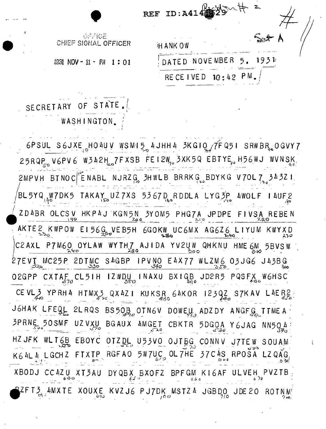|        | REF ID:A414               |
|--------|---------------------------|
| FFICER | HANKOW                    |
| 1:01   | DATED NOVEMBER 5.<br>1931 |
|        | RECEIVED 10:42 PM.        |

IGFAICE CHIEF SIGNAL O

1931 NOV - 11 - PH

## SECRETARY OF STATE WASHINGTON,

 $6$ PSUL S6JXE HO4UV WSMI5 4JHH4 3KGIQ  $\sqrt{f}$ FQ5I SRWBR<sub>10</sub>OGVY7 25RQP V6PV6 W342H 7FXSB FEI2W 3XK5Q EBTYE H56WJ WVNSK  $2MPVH$  BTNOC  $|^P$ ENABL NJRZG,  $3HWLB$  BRRKG, BDYKG V70L7,  $34321$ BL5YQ<sub>(A</sub>W7DK5 TAKAY UZ7XS 5367D RDDLA LYG3P 4WOLF 14UF2 ZD4BR OLCSV HKP4J KGN5N 3YOM5 PHG7A JPDPE FIVSA REBEN AKTE 2 KWPOW EI56G VEB5H 6GOKW UC6MX AG6Z6 LIYUM KWYXD C2AXL P7M60 OYLAW WYTH7 AJIDA YV2UW QHKNU HME 6M 5BVSW 27EVT MC25P 2DTMC S4GBP IPVNO E4X77 WLZM6 03JG6 J43BG O2GPP CXTAF CL5IH IZWDU INAXU BXIGB JD2R5 PQSFX W6HSC CEVL3 YPRH4 HTMX3 QX4Z1 KUKSR 64KOR 1230Z S7KAV L4ERZ J6HAK LFEQL 2LRQS BS50B OTN6V DOWELL ADZDY ANGFG TTME A 3PRNE 50SMF UZVXU BGAUX AMGET CBKTR 5DGOA Y6JAG NN504 HZ JFK WLTGB EBOYC OTZDL U53VO OJTBG CONNV J7TEW SOUAM  $K6$   $4$ L  $4$  L GCH  $2$  FT  $XTP$  RGF AO 5W 7UC OL 7HE 37C  $AS$  RPOSA LZ QAG  $XBODJ$  CC4ZU  $XT3AU$ DYQBX BXOFZ BPFGM KI6AF ULVEH PVZTB  $\frac{3}{100}$  AMXTE XOUXE KVZJ6 PJ7DK MSTZ4 JGBDO JDE20 ROTNM'  $7$  in .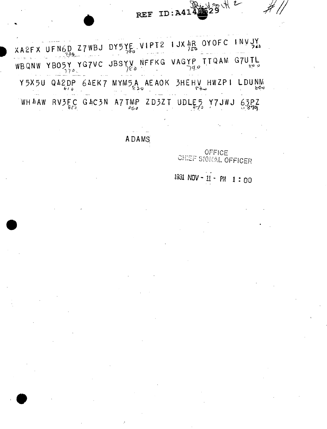## 留州2 REF ID: A4142

 $2FX$  UFN6D Z7WBJ DY5YE, VIPT2 1JX  $\frac{1}{256}$  OYOFC INVJY WBQNW YBO5Y YG7VC JBSYV NFFKG VAGYP TTQAM G7UTL Y5X5U Q42DP 64EK7 MYM5A AEAOK 3HEHV HWZPI LDUNM WHAAW RUSEC GACSN A7TMP ZD3ZT UDLES Y7JWJ 63PZ

**ADAMS** 

OFFICE CHIEF SIGNAL OFFICER